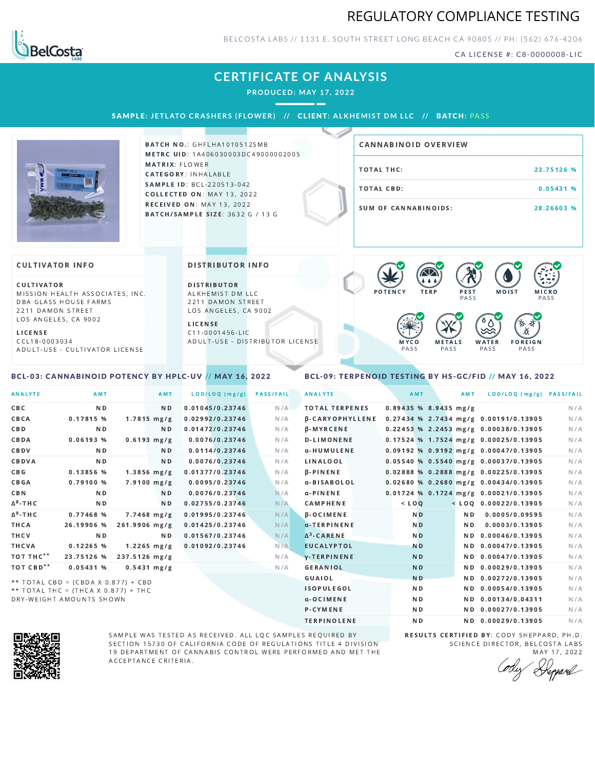### REGULATORY COMPLIANCE TESTING



BELCOSTA LABS // 1131 E. SOUTH STREET LONG BEACH C A 90805 // PH: (562) 676-4206

CA LICENSE #: C8-0000008-LIC

# **CERTIFICATE OF ANALYSIS**

**PRODUCED: MAY 17, 2022**

SAMPLE: JETLATO CRASHERS (FLOWER) // CLIENT: ALKHEMIST DM LLC // BATCH: PASS



**BATCH NO.: GHFLHA1010512SMB** METRC UID: 1A406030003DC49000002005 MATRIX: FLOWER CATEGORY: INHALABLE SAMPLE ID: BCL-220513-042 COLLECTED ON: MAY 13, 2022 **RECEIVED ON: MAY 13, 2022** BATCH/SAMPLE SIZE: 3632 G / 13 G

| <b>CANNABINOID OVERVIEW</b> |            |
|-----------------------------|------------|
| TOTAL THC:                  | 23.75126 % |
| TOTAL CBD:                  | 0.05431%   |
| SUM OF CANNABINOIDS:        | 28.26603 % |

#### **CULTIVATOR INFO**

CULTIVATOR MISSION HEALTH ASSOCIATES, INC. DBA GLASS HOUSE FARMS 2211 DAMON STREET LOS ANGELES, CA 9002

L I C E N S E

C C L 1 8 - 0 0 0 3 0 3 4 A D U L T - U S E - C U L T I V A T O R L I CENSE

<span id="page-0-0"></span>BCL-03: CANNABINOID POTENCY BY HPLC-UV // MAY 16, 2022

DISTRIBUTOR INFO

D I STRIBUTOR ALKHEMIST DM LLC 2211 DAMON STREET LOS ANGELES, CA 9002

L I C E N S E C 1 1 - 0 0 0 1 4 5 6 - L I C A D U L T - U S E - D I STRIBUTOR LICENSE



### <span id="page-0-1"></span>BCL-09: TERPENOID TESTING BY HS-GC/FID // MAY 16, 2022

| <b>ANALYTE</b>        | AMT                                   |                 | AMT                     | LOD/LOQ (mg/g)  | <b>PASS/FAIL</b> | <b>ANALYTE</b>         | AMT                     | AMT            | LOD/LOQ (mg/g) PASS/FAIL                |     |
|-----------------------|---------------------------------------|-----------------|-------------------------|-----------------|------------------|------------------------|-------------------------|----------------|-----------------------------------------|-----|
| CBC                   | N <sub>D</sub>                        |                 | N <sub>D</sub>          | 0.01045/0.23746 | N/A              | <b>TOTAL TERPENES</b>  | $0.89435$ % 8.9435 mg/g |                |                                         | N/A |
| CBCA                  | 0.17815 %                             |                 | $1.7815 \, \text{mg/g}$ | 0.02992/0.23746 | N/A              | <b>B-CARYOPHYLLENE</b> |                         |                | 0.27434 % 2.7434 mg/g 0.00191/0.13905   | N/A |
| CBD                   | N <sub>D</sub>                        |                 | N <sub>D</sub>          | 0.01472/0.23746 | N/A              | $\beta$ -MYRCENE       |                         |                | 0.22453 % 2.2453 mg/g 0.00038/0.13905   | N/A |
| CBDA                  | 0.06193%                              |                 | $0.6193$ mg/g           | 0.0076/0.23746  | N/A              | <b>D-LIMONENE</b>      |                         |                | 0.17524 % 1.7524 mg/g 0.00025/0.13905   | N/A |
| CBDV                  | N <sub>D</sub>                        |                 | N <sub>D</sub>          | 0.0114/0.23746  | N/A              | α-HUMULENE             |                         |                | $0.09192$ % 0.9192 mg/g 0.00047/0.13905 | N/A |
| CBDVA                 | N <sub>D</sub>                        |                 | N <sub>D</sub>          | 0.0076/0.23746  | N/A              | LINALOOL               |                         |                | 0.05540 % 0.5540 mg/g 0.00037/0.13905   | N/A |
| C B G                 | 0.13856 %                             |                 | $1.3856$ mg/g           | 0.01377/0.23746 | N/A              | $\beta$ -PINENE        |                         |                | 0.02888 % 0.2888 mg/g 0.00225/0.13905   | N/A |
| <b>CBGA</b>           | 0.79100%                              |                 | $7.9100$ mg/g           | 0.0095/0.23746  | N/A              | α-BISABOLOL            |                         |                | $0.02680$ % 0.2680 mg/g 0.00434/0.13905 | N/A |
| <b>CBN</b>            | N <sub>D</sub>                        |                 | N <sub>D</sub>          | 0.0076/0.23746  | N/A              | $\alpha$ -PINENE       |                         |                | 0.01724 % 0.1724 mg/g 0.00021/0.13905   | N/A |
| $\Delta^8$ -THC       | N <sub>D</sub>                        |                 | N <sub>D</sub>          | 0.02755/0.23746 | N/A              | <b>CAMPHENE</b>        | $<$ LOQ                 |                | $<$ LOQ 0.00022/0.13905                 | N/A |
| $\Delta^9$ -THC       | 0.77468 %                             |                 | $7.7468$ mg/g           | 0.01995/0.23746 | N/A              | <b>B-OCIMENE</b>       | N <sub>D</sub>          | N <sub>D</sub> | 0.0005/0.09595                          | N/A |
| THCA                  | 26.19906 %                            | $261.9906$ mg/g |                         | 0.01425/0.23746 | N/A              | a-TERPINENE            | N <sub>D</sub>          | ND.            | 0.0003/0.13905                          | N/A |
| THCV                  | N <sub>D</sub>                        |                 | N <sub>D</sub>          | 0.01567/0.23746 | N/A              | $\Delta^3$ -CARENE     | N <sub>D</sub>          |                | ND 0.00046/0.13905                      | N/A |
| THCVA                 | 0.12265%                              |                 | $1.2265 \text{ mg/g}$   | 0.01092/0.23746 | N/A              | <b>EUCALYPTOL</b>      | N <sub>D</sub>          |                | ND 0.00047/0.13905                      | N/A |
| TOT THC <sup>**</sup> | 23.75126 %                            | 237.5126 mg/g   |                         |                 | N/A              | y-TERPINENE            | N <sub>D</sub>          |                | ND 0.00047/0.13905                      | N/A |
| TOT CBD <sup>**</sup> | 0.05431%                              |                 | $0.5431$ mg/g           |                 | N/A              | <b>GERANIOL</b>        | N <sub>D</sub>          |                | ND 0.00029/0.13905                      | N/A |
|                       | ** TOTAL CBD = (CBDA X 0.877) + CBD   |                 |                         |                 |                  | GUAIOL                 | <b>ND</b>               |                | ND 0.00272/0.13905                      | N/A |
|                       | ** TOTAL THC = $(THCA X 0.877) + THC$ |                 |                         |                 |                  | <b>ISOPULEGOL</b>      | N <sub>D</sub>          |                | ND 0.00054/0.13905                      | N/A |
|                       | DRY-WEIGHT AMOUNTS SHOWN              |                 |                         |                 |                  | $\alpha$ -OCIMENE      | N <sub>D</sub>          |                | ND 0.00134/0.04311                      | N/A |



SAMPLE WAS TESTED AS RECEIVED. ALL LQC SAMPLES REQUIRED BY SECTION 15730 OF CALIFORNIA CODE OF REGULATIONS TITLE 4 DIVISION 19 DEPARTMENT OF CANNABIS CONTROL WERE PERFORMED AND MET THE A C C E P T A N C E C R I T E R I A.

RESULTS CERTIFIED BY: CODY SHEPPARD, PH.D. SCIENCE DIRECTOR, BELCOSTA LABS MAY 17, 2022

P-CYMENE ND ND ND 0.00027/0.13905 N/A TERPINOLENE ND ND 0.00029/0.13905 N/A

Depard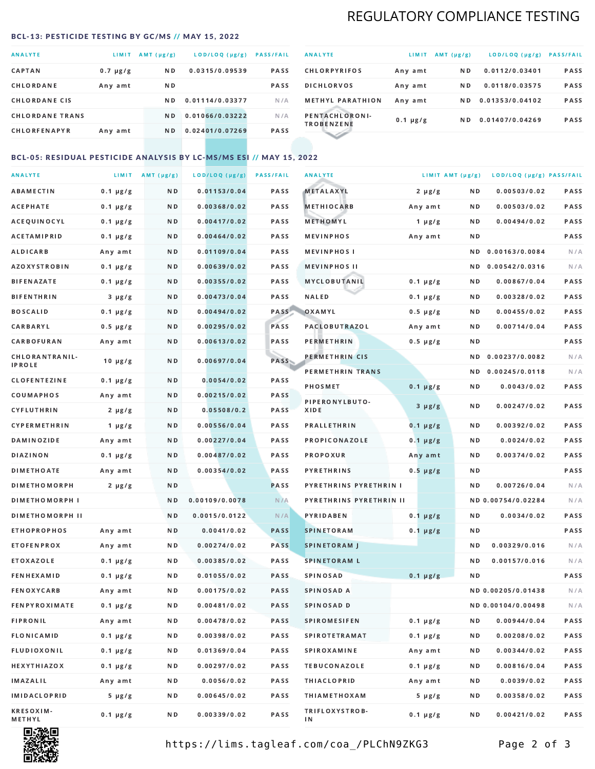## REGULATORY COMPLIANCE TESTING

#### <span id="page-1-0"></span>BCL-13: PESTICIDE TESTING BY GC/MS // MAY 15, 2022

| <b>ANALYTE</b>         | LIMIT.        | $AMT(\mu g/g)$ | LOD/LOQ (µg/g)  | <b>PASS/FAIL</b> |
|------------------------|---------------|----------------|-----------------|------------------|
| <b>CAPTAN</b>          | $0.7 \mu g/g$ | N <sub>D</sub> | 0.0315/0.09539  | <b>PASS</b>      |
| CHLORDANE              | Any amt       | N D            |                 | <b>PASS</b>      |
| <b>CHLORDANE CIS</b>   |               | ND.            | 0.01114/0.03377 | N/A              |
| <b>CHLORDANE TRANS</b> |               | N <sub>D</sub> | 0.01066/0.03222 | N/A              |
| <b>CHLORFENAPYR</b>    | Any amt       | N D            | 0.02401/0.07269 | <b>PASS</b>      |

| <b>ANALYTE</b>                      | LIMIT         | $AMT(\mu g/g)$ | LOD/LOQ (µg/g)  | <b>PASS/FAIL</b> |
|-------------------------------------|---------------|----------------|-----------------|------------------|
| <b>CHLORPYRIFOS</b>                 | Any amt       | N D            | 0.0112/0.03401  | <b>PASS</b>      |
| <b>DICHLORVOS</b>                   | Any amt       | ND.            | 0.0118/0.03575  | PASS             |
| <b>METHYL PARATHION</b>             | Any amt       | ND.            | 0.01353/0.04102 | <b>PASS</b>      |
| PENTACHLORONI-<br><b>TROBENZENE</b> | $0.1 \mu g/g$ | ND.            | 0.01407/0.04269 | <b>PASS</b>      |
|                                     |               |                |                 |                  |

### BCL-05: RESIDUAL PESTICIDE ANALYSIS BY LC-MS/MS ESI // MAY 15, 2022

| <b>ANALYTE</b>             |               | LIMIT AMT $(\mu g/g)$ | LOD/LOQ (µg/g) | <b>PASS/FAIL</b> | <b>ANALYTE</b>          |               | LIMIT AMT (µg/g) | LOD/LOQ (µg/g) PASS/FAIL |      |
|----------------------------|---------------|-----------------------|----------------|------------------|-------------------------|---------------|------------------|--------------------------|------|
| ABAMECTIN                  | $0.1 \mu g/g$ | N D                   | 0.01153/0.04   | PASS             | <b>METALAXYL</b>        | $2 \mu g/g$   | N D              | 0.00503/0.02             | PASS |
| <b>ACEPHATE</b>            | $0.1 \mu g/g$ | N D                   | 0.00368/0.02   | PASS             | <b>METHIOCARB</b>       | Any amt       | N D              | 0.00503/0.02             | PASS |
| ACEQUINOCYL                | $0.1 \mu g/g$ | N D                   | 0.00417/0.02   | PASS             | METHOMYL                | 1 $\mu$ g/g   | N D              | 0.00494/0.02             | PASS |
| ACETAMIPRID                | $0.1 \mu g/g$ | N D                   | 0.00464/0.02   | PASS             | <b>MEVINPHOS</b>        | Any amt       | N D              |                          | PASS |
| <b>ALDICARB</b>            | Any amt       | N D                   | 0.01109/0.04   | PASS             | <b>MEVINPHOSI</b>       |               | N D              | 0.00163/0.0084           | N/A  |
| <b>AZOXYSTROBIN</b>        | $0.1 \mu g/g$ | N D                   | 0.00639/0.02   | PASS             | <b>MEVINPHOS II</b>     |               | N D              | 0.00542/0.0316           | N/A  |
| <b>BIFENAZATE</b>          | $0.1 \mu g/g$ | N D                   | 0.00355/0.02   | PASS             | <b>MYCLOBUTANIL</b>     | $0.1 \mu g/g$ | N D              | 0.00867/0.04             | PASS |
| <b>BIFENTHRIN</b>          | $3 \mu g/g$   | N D                   | 0.00473/0.04   | PASS             | <b>NALED</b>            | $0.1 \mu g/g$ | N D              | 0.00328/0.02             | PASS |
| <b>BOSCALID</b>            | $0.1 \mu g/g$ | N D                   | 0.00494/0.02   | PASS             | OXAMYL                  | $0.5 \mu g/g$ | N D              | 0.00455/0.02             | PASS |
| CARBARYL                   | $0.5 \mu g/g$ | N D                   | 0.00295/0.02   | PASS             | <b>PACLOBUTRAZOL</b>    | Any amt       | N D              | 0.00714/0.04             | PASS |
| CARBOFURAN                 | Any amt       | N D                   | 0.00613/0.02   | PASS             | PERMETHRIN              | $0.5 \mu g/g$ | N D              |                          | PASS |
| CHLORANTRANIL-             | $10 \mu g/g$  | N D                   | 0.00697/0.04   | PASS             | PERMETHRIN CIS          |               | ND.              | 0.00237/0.0082           | N/A  |
| <b>IPROLE</b>              |               |                       |                |                  | PERMETHRIN TRANS        |               |                  | ND 0.00245/0.0118        | N/A  |
| <b>CLOFENTEZINE</b>        | $0.1 \mu g/g$ | ND.                   | 0.0054/0.02    | PASS             | <b>PHOSMET</b>          | $0.1 \mu g/g$ | N D              | 0.0043/0.02              | PASS |
| COUMAPHOS                  | Any amt       | N D                   | 0.00215/0.02   | <b>PASS</b>      | PIPERONYLBUTO-          | $3 \mu g/g$   | N D              | 0.00247/0.02             | PASS |
| CYFLUTHRIN                 | $2 \mu g/g$   | N D                   | 0.05508/0.2    | <b>PASS</b>      | XIDE                    |               |                  |                          |      |
| <b>CYPERMETHRIN</b>        | $1 \mu g/g$   | N D                   | 0.00556/0.04   | PASS             | <b>PRALLETHRIN</b>      | $0.1 \mu g/g$ | N D              | 0.00392/0.02             | PASS |
| <b>DAMINOZIDE</b>          | Any amt       | N D                   | 0.00227/0.04   | PASS             | PROPICONAZOLE           | $0.1 \mu g/g$ | N D              | 0.0024/0.02              | PASS |
| DIAZINON                   | $0.1 \mu g/g$ | N D                   | 0.00487/0.02   | <b>PASS</b>      | <b>PROPOXUR</b>         | Any amt       | N D              | 0.00374/0.02             | PASS |
| <b>DIMETHOATE</b>          | Any amt       | N D                   | 0.00354/0.02   | PASS             | <b>PYRETHRINS</b>       | $0.5 \mu g/g$ | N D              |                          | PASS |
| <b>DIMETHOMORPH</b>        | $2 \mu g/g$   | N D                   |                | PASS             | PYRETHRINS PYRETHRIN I  |               | ND.              | 0.00726/0.04             | N/A  |
| <b>DIMETHOMORPH I</b>      |               | N D                   | 0.00109/0.0078 | N/A              | PYRETHRINS PYRETHRIN II |               |                  | ND 0.00754/0.02284       | N/A  |
| <b>DIMETHOMORPH II</b>     |               | N D                   | 0.0015/0.0122  | N/A              | <b>PYRIDABEN</b>        | $0.1 \mu g/g$ | N D              | 0.0034/0.02              | PASS |
| <b>ETHOPROPHOS</b>         | Any amt       | N D                   | 0.0041/0.02    | <b>PASS</b>      | <b>SPINETORAM</b>       | $0.1 \mu g/g$ | N D              |                          | PASS |
| <b>ETOFENPROX</b>          | Any amt       | ND.                   | 0.00274/0.02   | <b>PASS</b>      | <b>SPINETORAM J</b>     |               | N D              | 0.00329/0.016            | N/A  |
| ETOXAZOLE                  | $0.1 \mu g/g$ | N D                   | 0.00385/0.02   | PASS             | <b>SPINETORAM L</b>     |               | N D              | 0.00157/0.016            | N/A  |
| <b>FENHEXAMID</b>          | $0.1 \mu g/g$ | N D                   | 0.01055/0.02   | PASS             | <b>SPINOSAD</b>         | $0.1 \mu g/g$ | N D              |                          | PASS |
| <b>FENOXYCARB</b>          | Any amt       | N D                   | 0.00175/0.02   | <b>PASS</b>      | SPINOSAD A              |               |                  | ND 0.00205/0.01438       | N/A  |
| <b>FENPYROXIMATE</b>       | $0.1 \mu g/g$ | N D                   | 0.00481/0.02   | PASS             | SPINOSAD D              |               |                  | ND 0.00104/0.00498       | N/A  |
| <b>FIPRONIL</b>            | Any amt       | N D                   | 0.00478/0.02   | PASS             | <b>SPIROMESIFEN</b>     | $0.1 \mu g/g$ | N D              | 0.00944/0.04             | PASS |
| FLONICAMID                 | $0.1 \mu g/g$ | N D                   | 0.00398/0.02   | PASS             | SPIROTETRAMAT           | $0.1 \mu g/g$ | N D              | 0.00208/0.02             | PASS |
| FLUDIOXONIL                | $0.1 \mu g/g$ | N D                   | 0.01369/0.04   | PASS             | <b>SPIROXAMINE</b>      | Any amt       | N D              | 0.00344/0.02             | PASS |
| HEXYTHIAZOX                | $0.1 \mu g/g$ | N D                   | 0.00297/0.02   | PASS             | <b>TEBUCONAZOLE</b>     | $0.1 \mu g/g$ | N D              | 0.00816/0.04             | PASS |
| IMAZALIL                   | Any amt       | N D                   | 0.0056/0.02    | PASS             | <b>THIACLOPRID</b>      | Any amt       | N D              | 0.0039/0.02              | PASS |
| <b>IMIDACLOPRID</b>        | $5 \mu g/g$   | N D                   | 0.00645/0.02   | PASS             | <b>THIAMETHOXAM</b>     | $5 \mu g/g$   | N D              | 0.00358/0.02             | PASS |
| <b>KRESOXIM-</b><br>METHYL | $0.1 \mu g/g$ | N D                   | 0.00339/0.02   | PASS             | TRIFLOXYSTROB-<br>ΙN    | $0.1 \mu g/g$ | N D              | 0.00421/0.02             | PASS |